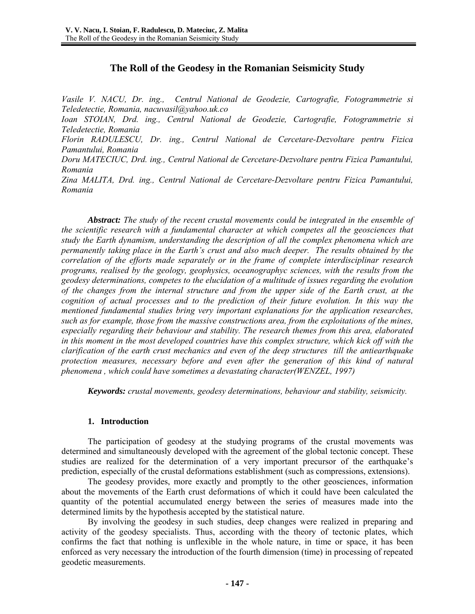# **The Roll of the Geodesy in the Romanian Seismicity Study**

*Vasile V. NACU, Dr. ing., Centrul National de Geodezie, Cartografie, Fotogrammetrie si Teledetectie, Romania, nacuvasil@yahoo.uk.co Ioan STOIAN, Drd. ing., Centrul National de Geodezie, Cartografie, Fotogrammetrie si Teledetectie, Romania Florin RADULESCU, Dr. ing., Centrul National de Cercetare-Dezvoltare pentru Fizica Pamantului, Romania Doru MATECIUC, Drd. ing., Centrul National de Cercetare-Dezvoltare pentru Fizica Pamantului, Romania Zina MALITA, Drd. ing., Centrul National de Cercetare-Dezvoltare pentru Fizica Pamantului, Romania* 

*Abstract: The study of the recent crustal movements could be integrated in the ensemble of the scientific research with a fundamental character at which competes all the geosciences that study the Earth dynamism, understanding the description of all the complex phenomena which are permanently taking place in the Earth's crust and also much deeper. The results obtained by the correlation of the efforts made separately or in the frame of complete interdisciplinar research programs, realised by the geology, geophysics, oceanographyc sciences, with the results from the geodesy determinations, competes to the elucidation of a multitude of issues regarding the evolution of the changes from the internal structure and from the upper side of the Earth crust, at the cognition of actual processes and to the prediction of their future evolution. In this way the mentioned fundamental studies bring very important explanations for the application researches, such as for example, those from the massive constructions area, from the exploitations of the mines, especially regarding their behaviour and stability. The research themes from this area, elaborated in this moment in the most developed countries have this complex structure, which kick off with the clarification of the earth crust mechanics and even of the deep structures till the antiearthquake protection measures, necessary before and even after the generation of this kind of natural phenomena , which could have sometimes a devastating character(WENZEL, 1997)* 

*Keywords: crustal movements, geodesy determinations, behaviour and stability, seismicity.* 

## **1. Introduction**

The participation of geodesy at the studying programs of the crustal movements was determined and simultaneously developed with the agreement of the global tectonic concept. These studies are realized for the determination of a very important precursor of the earthquake's prediction, especially of the crustal deformations establishment (such as compressions, extensions).

The geodesy provides, more exactly and promptly to the other geosciences, information about the movements of the Earth crust deformations of which it could have been calculated the quantity of the potential accumulated energy between the series of measures made into the determined limits by the hypothesis accepted by the statistical nature.

By involving the geodesy in such studies, deep changes were realized in preparing and activity of the geodesy specialists. Thus, according with the theory of tectonic plates, which confirms the fact that nothing is unflexible in the whole nature, in time or space, it has been enforced as very necessary the introduction of the fourth dimension (time) in processing of repeated geodetic measurements.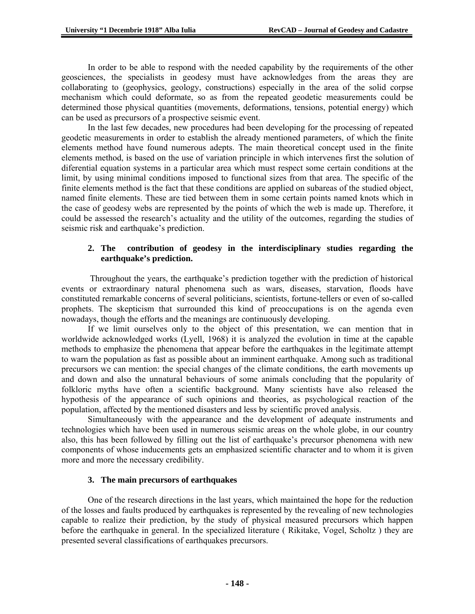In order to be able to respond with the needed capability by the requirements of the other geosciences, the specialists in geodesy must have acknowledges from the areas they are collaborating to (geophysics, geology, constructions) especially in the area of the solid corpse mechanism which could deformate, so as from the repeated geodetic measurements could be determined those physical quantities (movements, deformations, tensions, potential energy) which can be used as precursors of a prospective seismic event.

In the last few decades, new procedures had been developing for the processing of repeated geodetic measurements in order to establish the already mentioned parameters, of which the finite elements method have found numerous adepts. The main theoretical concept used in the finite elements method, is based on the use of variation principle in which intervenes first the solution of diferential equation systems in a particular area which must respect some certain conditions at the limit, by using minimal conditions imposed to functional sizes from that area. The specific of the finite elements method is the fact that these conditions are applied on subareas of the studied object, named finite elements. These are tied between them in some certain points named knots which in the case of geodesy webs are represented by the points of which the web is made up. Therefore, it could be assessed the research's actuality and the utility of the outcomes, regarding the studies of seismic risk and earthquake's prediction.

## **2. The contribution of geodesy in the interdisciplinary studies regarding the earthquake's prediction.**

 Throughout the years, the earthquake's prediction together with the prediction of historical events or extraordinary natural phenomena such as wars, diseases, starvation, floods have constituted remarkable concerns of several politicians, scientists, fortune-tellers or even of so-called prophets. The skepticism that surrounded this kind of preoccupations is on the agenda even nowadays, though the efforts and the meanings are continuously developing.

If we limit ourselves only to the object of this presentation, we can mention that in worldwide acknowledged works (Lyell, 1968) it is analyzed the evolution in time at the capable methods to emphasize the phenomena that appear before the earthquakes in the legitimate attempt to warn the population as fast as possible about an imminent earthquake. Among such as traditional precursors we can mention: the special changes of the climate conditions, the earth movements up and down and also the unnatural behaviours of some animals concluding that the popularity of folkloric myths have often a scientific background. Many scientists have also released the hypothesis of the appearance of such opinions and theories, as psychological reaction of the population, affected by the mentioned disasters and less by scientific proved analysis.

Simultaneously with the appearance and the development of adequate instruments and technologies which have been used in numerous seismic areas on the whole globe, in our country also, this has been followed by filling out the list of earthquake's precursor phenomena with new components of whose inducements gets an emphasized scientific character and to whom it is given more and more the necessary credibility.

## **3. The main precursors of earthquakes**

One of the research directions in the last years, which maintained the hope for the reduction of the losses and faults produced by earthquakes is represented by the revealing of new technologies capable to realize their prediction, by the study of physical measured precursors which happen before the earthquake in general. In the specialized literature ( Rikitake, Vogel, Scholtz ) they are presented several classifications of earthquakes precursors.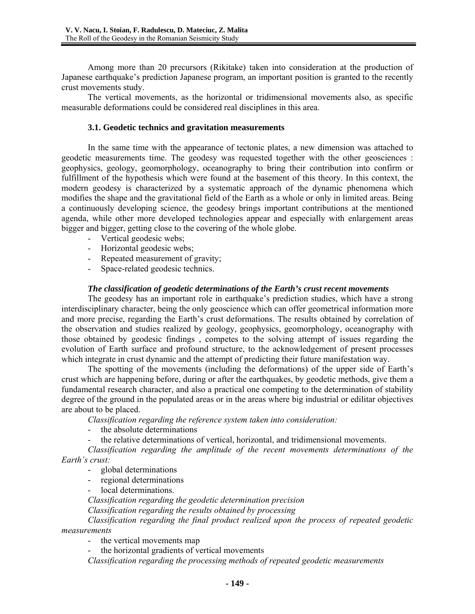Among more than 20 precursors (Rikitake) taken into consideration at the production of Japanese earthquake's prediction Japanese program, an important position is granted to the recently crust movements study.

The vertical movements, as the horizontal or tridimensional movements also, as specific measurable deformations could be considered real disciplines in this area.

### **3.1. Geodetic technics and gravitation measurements**

In the same time with the appearance of tectonic plates, a new dimension was attached to geodetic measurements time. The geodesy was requested together with the other geosciences : geophysics, geology, geomorphology, oceanography to bring their contribution into confirm or fulfillment of the hypothesis which were found at the basement of this theory. In this context, the modern geodesy is characterized by a systematic approach of the dynamic phenomena which modifies the shape and the gravitational field of the Earth as a whole or only in limited areas. Being a continuously developing science, the geodesy brings important contributions at the mentioned agenda, while other more developed technologies appear and especially with enlargement areas bigger and bigger, getting close to the covering of the whole globe.

- Vertical geodesic webs;
- Horizontal geodesic webs;
- Repeated measurement of gravity;
- Space-related geodesic technics.

### *The classification of geodetic determinations of the Earth's crust recent movements*

The geodesy has an important role in earthquake's prediction studies, which have a strong interdisciplinary character, being the only geoscience which can offer geometrical information more and more precise, regarding the Earth's crust deformations. The results obtained by correlation of the observation and studies realized by geology, geophysics, geomorphology, oceanography with those obtained by geodesic findings , competes to the solving attempt of issues regarding the evolution of Earth surface and profound structure, to the acknowledgement of present processes which integrate in crust dynamic and the attempt of predicting their future manifestation way.

The spotting of the movements (including the deformations) of the upper side of Earth's crust which are happening before, during or after the earthquakes, by geodetic methods, give them a fundamental research character, and also a practical one competing to the determination of stability degree of the ground in the populated areas or in the areas where big industrial or edilitar objectives are about to be placed.

*Classification regarding the reference system taken into consideration:* 

- the absolute determinations
- the relative determinations of vertical, horizontal, and tridimensional movements.

*Classification regarding the amplitude of the recent movements determinations of the Earth's crust:* 

- global determinations
- regional determinations
- local determinations.

*Classification regarding the geodetic determination precision* 

*Classification regarding the results obtained by processing* 

*Classification regarding the final product realized upon the process of repeated geodetic measurements* 

- the vertical movements map

the horizontal gradients of vertical movements

*Classification regarding the processing methods of repeated geodetic measurements*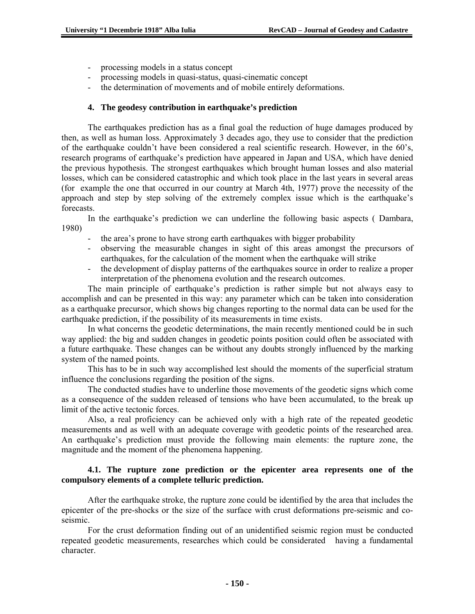- processing models in a status concept
- processing models in quasi-status, quasi-cinematic concept
- the determination of movements and of mobile entirely deformations.

## **4. The geodesy contribution in earthquake's prediction**

The earthquakes prediction has as a final goal the reduction of huge damages produced by then, as well as human loss. Approximately 3 decades ago, they use to consider that the prediction of the earthquake couldn't have been considered a real scientific research. However, in the 60's, research programs of earthquake's prediction have appeared in Japan and USA, which have denied the previous hypothesis. The strongest earthquakes which brought human losses and also material losses, which can be considered catastrophic and which took place in the last years in several areas (for example the one that occurred in our country at March 4th, 1977) prove the necessity of the approach and step by step solving of the extremely complex issue which is the earthquake's forecasts.

In the earthquake's prediction we can underline the following basic aspects ( Dambara, 1980)

- the area's prone to have strong earth earthquakes with bigger probability
- observing the measurable changes in sight of this areas amongst the precursors of earthquakes, for the calculation of the moment when the earthquake will strike
- the development of display patterns of the earthquakes source in order to realize a proper interpretation of the phenomena evolution and the research outcomes.

The main principle of earthquake's prediction is rather simple but not always easy to accomplish and can be presented in this way: any parameter which can be taken into consideration as a earthquake precursor, which shows big changes reporting to the normal data can be used for the earthquake prediction, if the possibility of its measurements in time exists.

In what concerns the geodetic determinations, the main recently mentioned could be in such way applied: the big and sudden changes in geodetic points position could often be associated with a future earthquake. These changes can be without any doubts strongly influenced by the marking system of the named points.

This has to be in such way accomplished lest should the moments of the superficial stratum influence the conclusions regarding the position of the signs.

The conducted studies have to underline those movements of the geodetic signs which come as a consequence of the sudden released of tensions who have been accumulated, to the break up limit of the active tectonic forces.

Also, a real proficiency can be achieved only with a high rate of the repeated geodetic measurements and as well with an adequate coverage with geodetic points of the researched area. An earthquake's prediction must provide the following main elements: the rupture zone, the magnitude and the moment of the phenomena happening.

## **4.1. The rupture zone prediction or the epicenter area represents one of the compulsory elements of a complete telluric prediction.**

After the earthquake stroke, the rupture zone could be identified by the area that includes the epicenter of the pre-shocks or the size of the surface with crust deformations pre-seismic and coseismic.

For the crust deformation finding out of an unidentified seismic region must be conducted repeated geodetic measurements, researches which could be considerated having a fundamental character.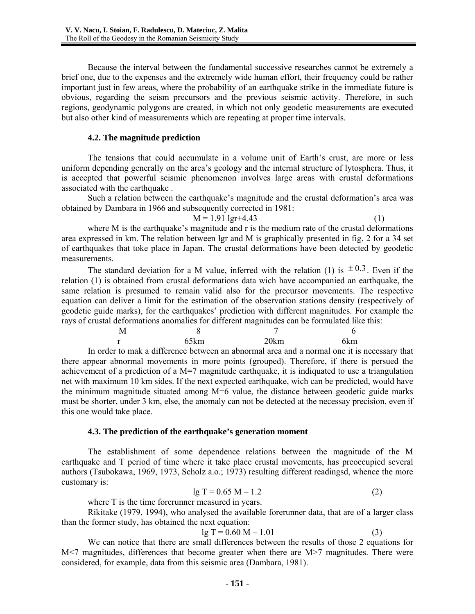Because the interval between the fundamental successive researches cannot be extremely a brief one, due to the expenses and the extremely wide human effort, their frequency could be rather important just in few areas, where the probability of an earthquake strike in the immediate future is obvious, regarding the seism precursors and the previous seismic activity. Therefore, in such regions, geodynamic polygons are created, in which not only geodetic measurements are executed but also other kind of measurements which are repeating at proper time intervals.

#### **4.2. The magnitude prediction**

The tensions that could accumulate in a volume unit of Earth's crust, are more or less uniform depending generally on the area's geology and the internal structure of lytosphera. Thus, it is accepted that powerful seismic phenomenon involves large areas with crustal deformations associated with the earthquake .

Such a relation between the earthquake's magnitude and the crustal deformation's area was obtained by Dambara in 1966 and subsequently corrected in 1981:

 $M = 1.91 \text{ lgr} + 4.43$  (1)

where M is the earthquake's magnitude and r is the medium rate of the crustal deformations area expressed in km. The relation between lgr and M is graphically presented in fig. 2 for a 34 set of earthquakes that toke place in Japan. The crustal deformations have been detected by geodetic measurements.

The standard deviation for a M value, inferred with the relation (1) is  $\pm 0.3$ . Even if the relation (1) is obtained from crustal deformations data wich have accompanied an earthquake, the same relation is presumed to remain valid also for the precursor movements. The respective equation can deliver a limit for the estimation of the observation stations density (respectively of geodetic guide marks), for the earthquakes' prediction with different magnitudes. For example the rays of crustal deformations anomalies for different magnitudes can be formulated like this:

| M |          |      |      |  |     |
|---|----------|------|------|--|-----|
| r |          | 65km | 20km |  | 6km |
|   | $\cdots$ |      |      |  | . . |

In order to mak a difference between an abnormal area and a normal one it is necessary that there appear abnormal movements in more points (grouped). Therefore, if there is persued the achievement of a prediction of a  $M=7$  magnitude earthquake, it is indiquated to use a triangulation net with maximum 10 km sides. If the next expected earthquake, wich can be predicted, would have the minimum magnitude situated among  $M=6$  value, the distance between geodetic guide marks must be shorter, under 3 km, else, the anomaly can not be detected at the necessay precision, even if this one would take place.

## **4.3. The prediction of the earthquake's generation moment**

The establishment of some dependence relations between the magnitude of the M earthquake and T period of time where it take place crustal movements, has preoccupied several authors (Tsubokawa, 1969, 1973, Scholz a.o.; 1973) resulting different readingsd, whence the more customary is:

$$
lg T = 0.65 M - 1.2
$$
 (2)

where T is the time forerunner measured in years.

Rikitake (1979, 1994), who analysed the available forerunner data, that are of a larger class than the former study, has obtained the next equation:

$$
lg T = 0.60 M - 1.01
$$
 (3)

We can notice that there are small differences between the results of those 2 equations for M<7 magnitudes, differences that become greater when there are M>7 magnitudes. There were considered, for example, data from this seismic area (Dambara, 1981).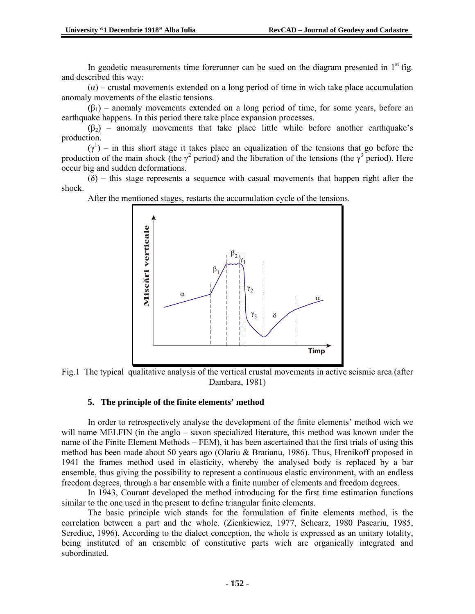In geodetic measurements time forerunner can be sued on the diagram presented in  $1<sup>st</sup>$  fig. and described this way:

 $(\alpha)$  – crustal movements extended on a long period of time in wich take place accumulation anomaly movements of the elastic tensions.

 $(\beta_1)$  – anomaly movements extended on a long period of time, for some years, before an earthquake happens. In this period there take place expansion processes.

 $(\beta_2)$  – anomaly movements that take place little while before another earthquake's production.

 $(\gamma^1)$  – in this short stage it takes place an equalization of the tensions that go before the production of the main shock (the  $\gamma^2$  period) and the liberation of the tensions (the  $\gamma^3$  period). Here occur big and sudden deformations.

 $(\delta)$  – this stage represents a sequence with casual movements that happen right after the shock.

After the mentioned stages, restarts the accumulation cycle of the tensions.



Fig.1 The typical qualitative analysis of the vertical crustal movements in active seismic area (after Dambara, 1981)

#### **5. The principle of the finite elements' method**

In order to retrospectively analyse the development of the finite elements' method wich we will name MELFIN (in the anglo – saxon specialized literature, this method was known under the name of the Finite Element Methods – FEM), it has been ascertained that the first trials of using this method has been made about 50 years ago (Olariu & Bratianu, 1986). Thus, Hrenikoff proposed in 1941 the frames method used in elasticity, whereby the analysed body is replaced by a bar ensemble, thus giving the possibility to represent a continuous elastic environment, with an endless freedom degrees, through a bar ensemble with a finite number of elements and freedom degrees.

In 1943, Courant developed the method introducing for the first time estimation functions similar to the one used in the present to define triangular finite elements.

The basic principle wich stands for the formulation of finite elements method, is the correlation between a part and the whole. (Zienkiewicz, 1977, Schearz, 1980 Pascariu, 1985, Serediuc, 1996). According to the dialect conception, the whole is expressed as an unitary totality, being instituted of an ensemble of constitutive parts wich are organically integrated and subordinated.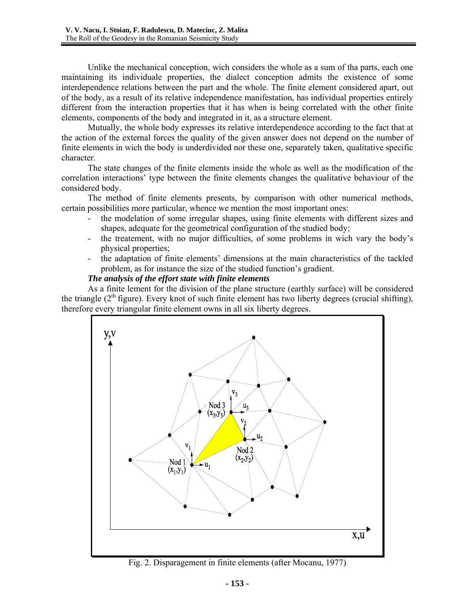Unlike the mechanical conception, wich considers the whole as a sum of tha parts, each one maintaining its individuale properties, the dialect conception admits the existence of some interdependence relations between the part and the whole. The finite element considered apart, out of the body, as a result of its relative independence manifestation, has individual properties entirely different from the interaction properties that it has when is being correlated with the other finite elements, components of the body and integrated in it, as a structure element.

Mutually, the whole body expresses its relative interdependence according to the fact that at the action of the external forces the quality of the given answer does not depend on the number of finite elements in wich the body is underdivided nor these one, separately taken, qualitative specific character.

The state changes of the finite elements inside the whole as well as the modification of the correlation interactions' type between the finite elements changes the qualitative behaviour of the considered body.

The method of finite elements presents, by comparison with other numerical methods, certain possibilities more particular, whence we mention the most important ones:

- the modelation of some irregular shapes, using finite elements with different sizes and shapes, adequate for the geometrical configuration of the studied body;
- the treatement, with no major difficulties, of some problems in wich vary the body's physical properties;
- the adaptation of finite elements' dimensions at the main characteristics of the tackled problem, as for instance the size of the studied function's gradient.

### *The analysis of the effort state with finite elements*

As a finite lement for the division of the plane structure (earthly surface) will be considered the triangle  $(2<sup>th</sup>$  figure). Every knot of such finite element has two liberty degrees (crucial shifting), therefore every triangular finite element owns in all six liberty degrees.



Fig. 2. Disparagement in finite elements (after Mocanu, 1977)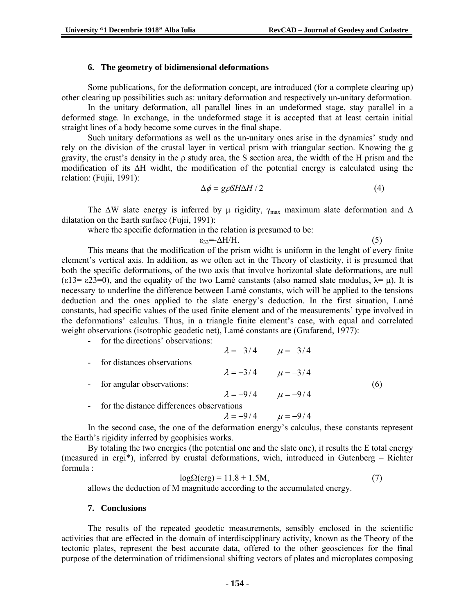#### **6. The geometry of bidimensional deformations**

Some publications, for the deformation concept, are introduced (for a complete clearing up) other clearing up possibilities such as: unitary deformation and respectively un-unitary deformation.

In the unitary deformation, all parallel lines in an undeformed stage, stay parallel in a deformed stage. In exchange, in the undeformed stage it is accepted that at least certain initial straight lines of a body become some curves in the final shape.

Such unitary deformations as well as the un-unitary ones arise in the dynamics' study and rely on the division of the crustal layer in vertical prism with triangular section. Knowing the g gravity, the crust's density in the  $\rho$  study area, the S section area, the width of the H prism and the modification of its ∆H widht, the modification of the potential energy is calculated using the relation: (Fujii, 1991):

$$
\Delta \phi = g \rho S H \Delta H / 2 \tag{4}
$$

The  $\Delta W$  slate energy is inferred by  $\mu$  rigidity,  $\gamma_{\text{max}}$  maximum slate deformation and  $\Delta$ dilatation on the Earth surface (Fujii, 1991):

where the specific deformation in the relation is presumed to be:

 $\varepsilon_{33} = \Delta H/H.$  (5) This means that the modification of the prism widht is uniform in the lenght of every finite element's vertical axis. In addition, as we often act in the Theory of elasticity, it is presumed that both the specific deformations, of the two axis that involve horizontal slate deformations, are null (ε13= ε23=0), and the equality of the two Lamé canstants (also named slate modulus,  $\lambda = \mu$ ). It is necessary to underline the difference between Lamé constants, wich will be applied to the tensions deduction and the ones applied to the slate energy's deduction. In the first situation, Lamé constants, had specific values of the used finite element and of the measurements' type involved in the deformations' calculus. Thus, in a triangle finite element's case, with equal and correlated weight observations (isotrophic geodetic net), Lamé constants are (Grafarend, 1977):

- for the directions' observations:

- $\lambda = -3/4$   $\mu = -3/4$ for distances observations  $\lambda = -3/4$   $\mu = -3/4$  $\beta$  for angular observations: (6)  $\lambda = -9/4$   $\mu = -9/4$ 
	-
- 
- for the distance differences observations

 $\lambda = -9/4$   $\mu = -9/4$ 

In the second case, the one of the deformation energy's calculus, these constants represent the Earth's rigidity inferred by geophisics works.

By totaling the two energies (the potential one and the slate one), it results the E total energy (measured in ergi\*), inferred by crustal deformations, wich, introduced in Gutenberg – Richter formula :

$$
log\Omega(erg) = 11.8 + 1.5M,\tag{7}
$$

allows the deduction of M magnitude according to the accumulated energy.

#### **7. Conclusions**

The results of the repeated geodetic measurements, sensibly enclosed in the scientific activities that are effected in the domain of interdiscipplinary activity, known as the Theory of the tectonic plates, represent the best accurate data, offered to the other geosciences for the final purpose of the determination of tridimensional shifting vectors of plates and microplates composing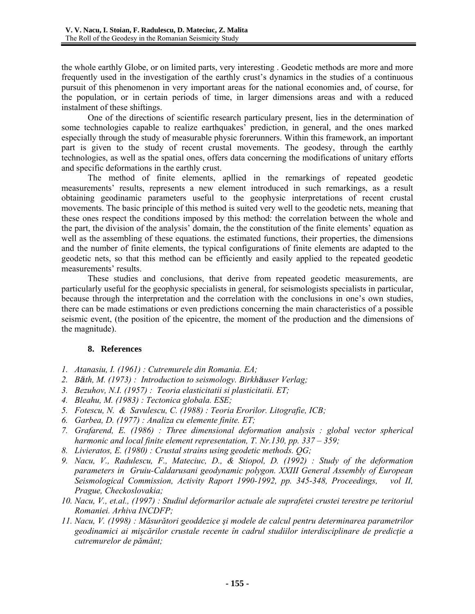the whole earthly Globe, or on limited parts, very interesting . Geodetic methods are more and more frequently used in the investigation of the earthly crust's dynamics in the studies of a continuous pursuit of this phenomenon in very important areas for the national economies and, of course, for the population, or in certain periods of time, in larger dimensions areas and with a reduced instalment of these shiftings.

One of the directions of scientific research particulary present, lies in the determination of some technologies capable to realize earthquakes' prediction, in general, and the ones marked especially through the study of measurable physic forerunners. Within this framework, an important part is given to the study of recent crustal movements. The geodesy, through the earthly technologies, as well as the spatial ones, offers data concerning the modifications of unitary efforts and specific deformations in the earthly crust.

The method of finite elements, apllied in the remarkings of repeated geodetic measurements' results, represents a new element introduced in such remarkings, as a result obtaining geodinamic parameters useful to the geophysic interpretations of recent crustal movements. The basic principle of this method is suited very well to the geodetic nets, meaning that these ones respect the conditions imposed by this method: the correlation between the whole and the part, the division of the analysis' domain, the the constitution of the finite elements' equation as well as the assembling of these equations. the estimated functions, their properties, the dimensions and the number of finite elements, the typical configurations of finite elements are adapted to the geodetic nets, so that this method can be efficiently and easily applied to the repeated geodetic measurements' results.

These studies and conclusions, that derive from repeated geodetic measurements, are particularly useful for the geophysic specialists in general, for seismologists specialists in particular, because through the interpretation and the correlation with the conclusions in one's own studies, there can be made estimations or even predictions concerning the main characteristics of a possible seismic event, (the position of the epicentre, the moment of the production and the dimensions of the magnitude).

## **8. References**

- *1. Atanasiu, I. (1961) : Cutremurele din Romania. EA;*
- *2. Bäth, M. (1973) : Introduction to seismology. Birkhäuser Verlag;*
- *3. Bezuhov, N.I. (1957) : Teoria elasticitatii si plasticitatii. ET;*
- *4. Bleahu, M. (1983) : Tectonica globala. ESE;*
- *5. Fotescu, N. & Savulescu, C. (1988) : Teoria Erorilor. Litografie, ICB;*
- *6. Garbea, D. (1977) : Analiza cu elemente finite. ET;*
- *7. Grafarend, E. (1986) : Three dimensional deformation analysis : global vector spherical harmonic and local finite element representation, T. Nr.130, pp. 337 – 359;*
- *8. Livieratos, E. (1980) : Crustal strains using geodetic methods. QG;*
- *9. Nacu, V., Radulescu, F., Mateciuc, D., & Stiopol, D. (1992) : Study of the deformation parameters in Gruiu-Caldarusani geodynamic polygon. XXIII General Assembly of European Seismological Commission, Activity Raport 1990-1992, pp. 345-348, Proceedings, vol II, Prague, Checkoslovakia;*
- *10. Nacu, V., et.al., (1997) : Studiul deformarilor actuale ale suprafetei crustei terestre pe teritoriul Romaniei. Arhiva INCDFP;*
- *11. Nacu, V. (1998) : Măsurători geoddezice şi modele de calcul pentru determinarea parametrilor geodinamici ai mişcărilor crustale recente în cadrul studiilor interdisciplinare de predicţie a cutremurelor de pământ;*